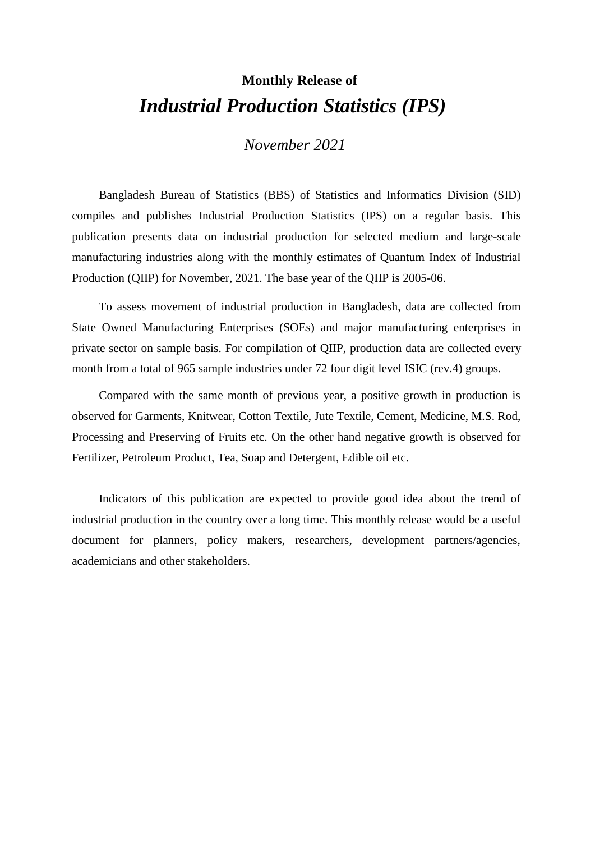## **Monthly Release of** *Industrial Production Statistics (IPS)*

*November 2021*

Bangladesh Bureau of Statistics (BBS) of Statistics and Informatics Division (SID) compiles and publishes Industrial Production Statistics (IPS) on a regular basis. This publication presents data on industrial production for selected medium and large-scale manufacturing industries along with the monthly estimates of Quantum Index of Industrial Production (QIIP) for November, 2021. The base year of the QIIP is 2005-06.

To assess movement of industrial production in Bangladesh, data are collected from State Owned Manufacturing Enterprises (SOEs) and major manufacturing enterprises in private sector on sample basis. For compilation of QIIP, production data are collected every month from a total of 965 sample industries under 72 four digit level ISIC (rev.4) groups.

Compared with the same month of previous year, a positive growth in production is observed for Garments, Knitwear, Cotton Textile, Jute Textile, Cement, Medicine, M.S. Rod, Processing and Preserving of Fruits etc. On the other hand negative growth is observed for Fertilizer, Petroleum Product, Tea, Soap and Detergent, Edible oil etc.

Indicators of this publication are expected to provide good idea about the trend of industrial production in the country over a long time. This monthly release would be a useful document for planners, policy makers, researchers, development partners/agencies, academicians and other stakeholders.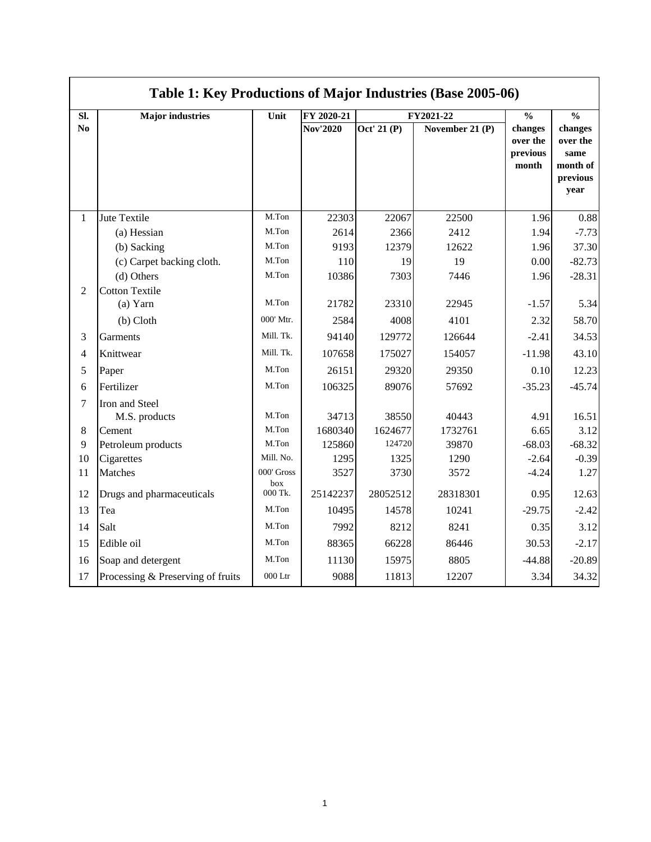|                | Table 1: Key Productions of Major Industries (Base 2005-06) |                         |                  |                  |                  |                                          |                                                             |  |  |  |  |
|----------------|-------------------------------------------------------------|-------------------------|------------------|------------------|------------------|------------------------------------------|-------------------------------------------------------------|--|--|--|--|
| SI.            | <b>Major industries</b>                                     | Unit                    | FY 2020-21       |                  | FY2021-22        | $\frac{0}{0}$                            | $\frac{0}{0}$                                               |  |  |  |  |
| N <sub>0</sub> |                                                             |                         | <b>Nov'2020</b>  | Oct' 21 (P)      | November 21 (P)  | changes<br>over the<br>previous<br>month | changes<br>over the<br>same<br>month of<br>previous<br>year |  |  |  |  |
| $\mathbf{1}$   | Jute Textile                                                | M.Ton                   | 22303            | 22067            | 22500            | 1.96                                     | 0.88                                                        |  |  |  |  |
|                | (a) Hessian                                                 | M.Ton                   | 2614             | 2366             | 2412             | 1.94                                     | $-7.73$                                                     |  |  |  |  |
|                | (b) Sacking                                                 | M.Ton                   | 9193             | 12379            | 12622            | 1.96                                     | 37.30                                                       |  |  |  |  |
|                | (c) Carpet backing cloth.                                   | M.Ton                   | 110              | 19               | 19               | 0.00                                     | $-82.73$                                                    |  |  |  |  |
|                | (d) Others                                                  | M.Ton                   | 10386            | 7303             | 7446             | 1.96                                     | $-28.31$                                                    |  |  |  |  |
| $\overline{2}$ | <b>Cotton Textile</b><br>$(a)$ Yarn                         | M.Ton<br>000' Mtr.      | 21782            | 23310            | 22945            | $-1.57$                                  | 5.34                                                        |  |  |  |  |
|                | (b) Cloth                                                   |                         | 2584             | 4008             | 4101             | 2.32                                     | 58.70                                                       |  |  |  |  |
| 3              | Garments                                                    | Mill. Tk.               | 94140            | 129772           | 126644           | $-2.41$                                  | 34.53                                                       |  |  |  |  |
| $\overline{4}$ | Knittwear                                                   | Mill. Tk.               | 107658           | 175027           | 154057           | $-11.98$                                 | 43.10                                                       |  |  |  |  |
| 5              | Paper                                                       | M.Ton                   | 26151            | 29320            | 29350            | 0.10                                     | 12.23                                                       |  |  |  |  |
| 6              | Fertilizer                                                  | M.Ton                   | 106325           | 89076            | 57692            | $-35.23$                                 | $-45.74$                                                    |  |  |  |  |
| $\overline{7}$ | Iron and Steel<br>M.S. products                             | M.Ton                   | 34713            | 38550            | 40443            | 4.91                                     | 16.51                                                       |  |  |  |  |
| 8              | Cement                                                      | M.Ton                   | 1680340          | 1624677          | 1732761          | 6.65                                     | 3.12                                                        |  |  |  |  |
| 9              | Petroleum products                                          | M.Ton                   | 125860           | 124720           | 39870            | $-68.03$                                 | $-68.32$                                                    |  |  |  |  |
| 10             | Cigarettes                                                  | Mill. No.<br>000' Gross | 1295             | 1325             | 1290             | $-2.64$                                  | $-0.39$                                                     |  |  |  |  |
| 11<br>12       | Matches<br>Drugs and pharmaceuticals                        | box<br>000 Tk.          | 3527<br>25142237 | 3730<br>28052512 | 3572<br>28318301 | $-4.24$<br>0.95                          | 1.27<br>12.63                                               |  |  |  |  |
| 13             | Tea                                                         | M.Ton                   | 10495            | 14578            | 10241            | $-29.75$                                 | $-2.42$                                                     |  |  |  |  |
| 14             | Salt                                                        | M.Ton                   | 7992             | 8212             | 8241             | 0.35                                     | 3.12                                                        |  |  |  |  |
|                |                                                             | M.Ton                   |                  |                  |                  |                                          |                                                             |  |  |  |  |
| 15             | Edible oil                                                  |                         | 88365            | 66228            | 86446            | 30.53                                    | $-2.17$                                                     |  |  |  |  |
| 16             | Soap and detergent                                          | M.Ton                   | 11130            | 15975            | 8805             | $-44.88$                                 | $-20.89$                                                    |  |  |  |  |
| 17             | Processing & Preserving of fruits                           | 000 Ltr                 | 9088             | 11813            | 12207            | 3.34                                     | 34.32                                                       |  |  |  |  |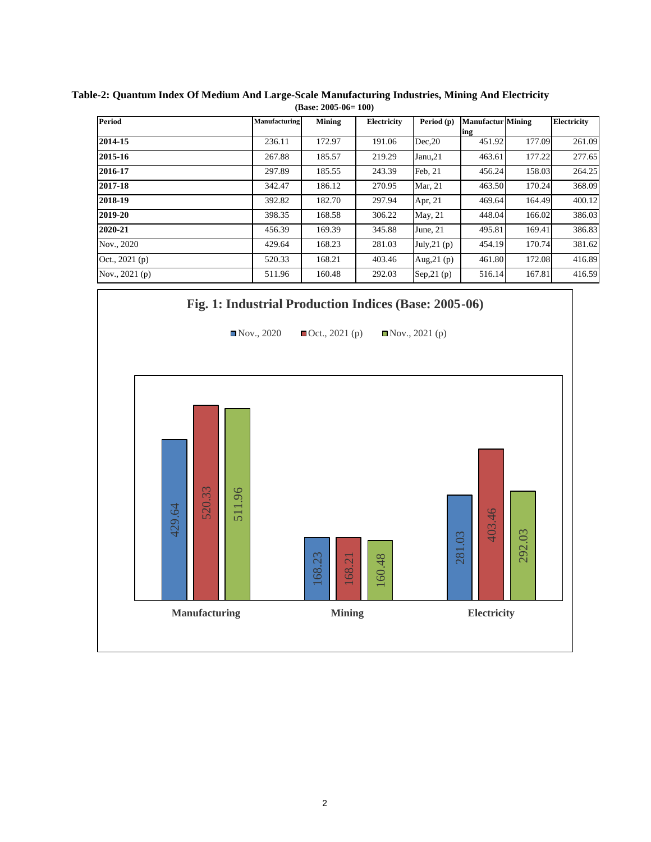| <b>Period</b>   | Manufacturing | Mining | Electricity | Period (p)    | <b>Manufactur</b> Mining |        | Electricity |
|-----------------|---------------|--------|-------------|---------------|--------------------------|--------|-------------|
|                 |               |        |             |               | ing                      |        |             |
| 2014-15         | 236.11        | 172.97 | 191.06      | Dec.20        | 451.92                   | 177.09 | 261.09      |
| 2015-16         | 267.88        | 185.57 | 219.29      | Janu,21       | 463.61                   | 177.22 | 277.65      |
| 2016-17         | 297.89        | 185.55 | 243.39      | Feb, 21       | 456.24                   | 158.03 | 264.25      |
| 2017-18         | 342.47        | 186.12 | 270.95      | Mar, 21       | 463.50                   | 170.24 | 368.09      |
| 2018-19         | 392.82        | 182.70 | 297.94      | Apr, 21       | 469.64                   | 164.49 | 400.12      |
| 2019-20         | 398.35        | 168.58 | 306.22      | May, 21       | 448.04                   | 166.02 | 386.03      |
| 2020-21         | 456.39        | 169.39 | 345.88      | June, $21$    | 495.81                   | 169.41 | 386.83      |
| Nov., 2020      | 429.64        | 168.23 | 281.03      | July, $21(p)$ | 454.19                   | 170.74 | 381.62      |
| Oct., 2021 (p)  | 520.33        | 168.21 | 403.46      | Aug, $21(p)$  | 461.80                   | 172.08 | 416.89      |
| Nov., $2021(p)$ | 511.96        | 160.48 | 292.03      | Sep, $21(p)$  | 516.14                   | 167.81 | 416.59      |

**Table-2: Quantum Index Of Medium And Large-Scale Manufacturing Industries, Mining And Electricity (Base: 2005-06= 100)**

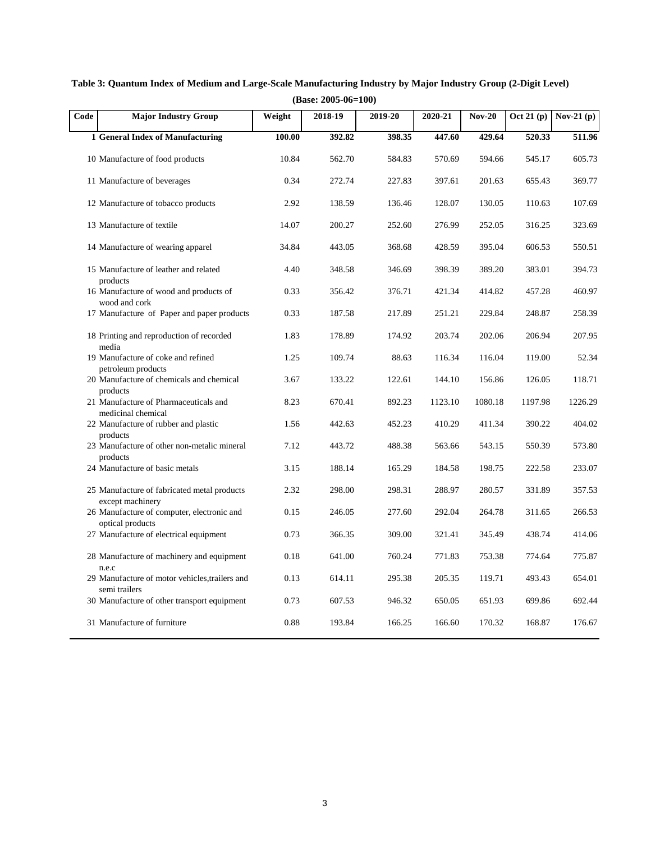| Code | <b>Major Industry Group</b>                                    | Weight | 2018-19 | 2019-20 | 2020-21 | <b>Nov-20</b> |         | Oct 21 (p) Nov-21 (p) |
|------|----------------------------------------------------------------|--------|---------|---------|---------|---------------|---------|-----------------------|
|      | 1 General Index of Manufacturing                               | 100.00 | 392.82  | 398.35  | 447.60  | 429.64        | 520.33  | 511.96                |
|      | 10 Manufacture of food products                                | 10.84  | 562.70  | 584.83  | 570.69  | 594.66        | 545.17  | 605.73                |
|      | 11 Manufacture of beverages                                    | 0.34   | 272.74  | 227.83  | 397.61  | 201.63        | 655.43  | 369.77                |
|      | 12 Manufacture of tobacco products                             | 2.92   | 138.59  | 136.46  | 128.07  | 130.05        | 110.63  | 107.69                |
|      | 13 Manufacture of textile                                      | 14.07  | 200.27  | 252.60  | 276.99  | 252.05        | 316.25  | 323.69                |
|      | 14 Manufacture of wearing apparel                              | 34.84  | 443.05  | 368.68  | 428.59  | 395.04        | 606.53  | 550.51                |
|      | 15 Manufacture of leather and related<br>products              | 4.40   | 348.58  | 346.69  | 398.39  | 389.20        | 383.01  | 394.73                |
|      | 16 Manufacture of wood and products of<br>wood and cork        | 0.33   | 356.42  | 376.71  | 421.34  | 414.82        | 457.28  | 460.97                |
|      | 17 Manufacture of Paper and paper products                     | 0.33   | 187.58  | 217.89  | 251.21  | 229.84        | 248.87  | 258.39                |
|      | 18 Printing and reproduction of recorded<br>media              | 1.83   | 178.89  | 174.92  | 203.74  | 202.06        | 206.94  | 207.95                |
|      | 19 Manufacture of coke and refined<br>petroleum products       | 1.25   | 109.74  | 88.63   | 116.34  | 116.04        | 119.00  | 52.34                 |
|      | 20 Manufacture of chemicals and chemical                       | 3.67   | 133.22  | 122.61  | 144.10  | 156.86        | 126.05  | 118.71                |
|      | products<br>21 Manufacture of Pharmaceuticals and              | 8.23   | 670.41  | 892.23  | 1123.10 | 1080.18       | 1197.98 | 1226.29               |
|      | medicinal chemical<br>22 Manufacture of rubber and plastic     | 1.56   | 442.63  | 452.23  | 410.29  | 411.34        | 390.22  | 404.02                |
|      | products<br>23 Manufacture of other non-metalic mineral        | 7.12   | 443.72  | 488.38  | 563.66  | 543.15        | 550.39  | 573.80                |
|      | products<br>24 Manufacture of basic metals                     | 3.15   | 188.14  | 165.29  | 184.58  | 198.75        | 222.58  | 233.07                |
|      | 25 Manufacture of fabricated metal products                    | 2.32   | 298.00  | 298.31  | 288.97  | 280.57        | 331.89  | 357.53                |
|      | except machinery<br>26 Manufacture of computer, electronic and | 0.15   | 246.05  | 277.60  | 292.04  | 264.78        | 311.65  | 266.53                |
|      | optical products<br>27 Manufacture of electrical equipment     | 0.73   | 366.35  | 309.00  | 321.41  | 345.49        | 438.74  | 414.06                |
|      | 28 Manufacture of machinery and equipment                      | 0.18   | 641.00  | 760.24  | 771.83  | 753.38        | 774.64  | 775.87                |
|      | n.e.c<br>29 Manufacture of motor vehicles, trailers and        | 0.13   | 614.11  | 295.38  | 205.35  | 119.71        | 493.43  | 654.01                |
|      | semi trailers<br>30 Manufacture of other transport equipment   | 0.73   | 607.53  | 946.32  | 650.05  | 651.93        | 699.86  | 692.44                |
|      | 31 Manufacture of furniture                                    | 0.88   | 193.84  | 166.25  | 166.60  | 170.32        | 168.87  | 176.67                |

**Table 3: Quantum Index of Medium and Large-Scale Manufacturing Industry by Major Industry Group (2-Digit Level) (Base: 2005-06=100)**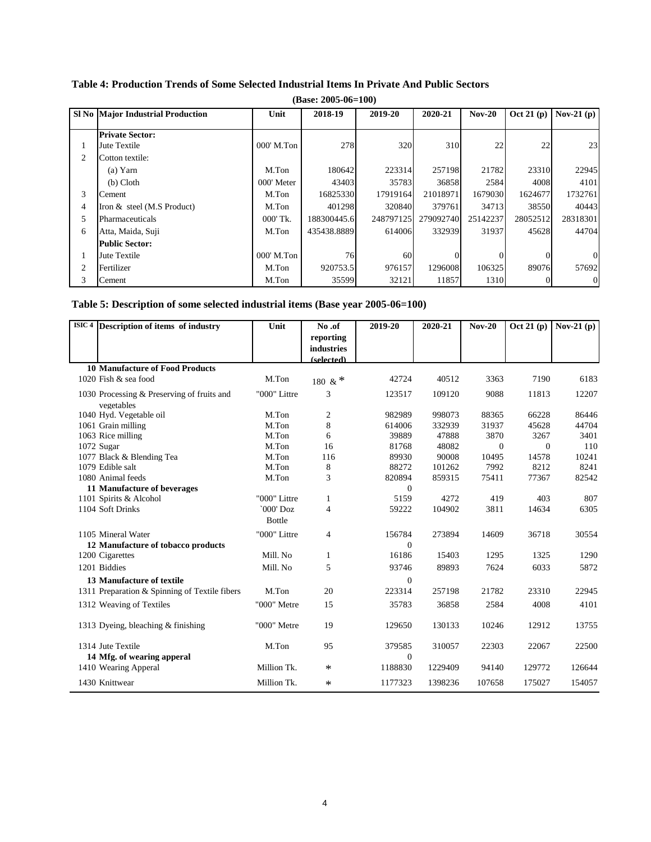|       | $(Base: 2005-06=100)$                    |            |             |           |           |          |              |                |  |  |  |
|-------|------------------------------------------|------------|-------------|-----------|-----------|----------|--------------|----------------|--|--|--|
|       | <b>SI No Major Industrial Production</b> | Unit       | 2018-19     | 2019-20   | 2020-21   | $Nov-20$ | Oct 21 $(p)$ | Nov-21 $(p)$   |  |  |  |
|       | <b>Private Sector:</b>                   |            |             |           |           |          |              |                |  |  |  |
| $\pm$ | Jute Textile                             | 000' M.Ton | 278         | 320       | 310       | 22       | 22           | 23             |  |  |  |
| 2     | Cotton textile:                          |            |             |           |           |          |              |                |  |  |  |
|       | (a) Yarn                                 | M.Ton      | 180642      | 223314    | 257198    | 21782    | 23310        | 22945          |  |  |  |
|       | $(b)$ Cloth                              | 000' Meter | 43403       | 35783     | 36858     | 2584     | 4008         | 4101           |  |  |  |
| 3     | Cement                                   | M.Ton      | 16825330    | 17919164  | 21018971  | 1679030  | 1624677      | 1732761        |  |  |  |
| 4     | Iron & steel (M.S Product)               | M.Ton      | 401298      | 320840    | 379761    | 34713    | 38550        | 40443          |  |  |  |
| 5     | Pharmaceuticals                          | 000' Tk.   | 188300445.6 | 248797125 | 279092740 | 25142237 | 28052512     | 28318301       |  |  |  |
| 6     | Atta, Maida, Suji                        | M.Ton      | 435438.8889 | 614006    | 332939    | 31937    | 45628        | 44704          |  |  |  |
|       | <b>Public Sector:</b>                    |            |             |           |           |          |              |                |  |  |  |
|       | Jute Textile                             | 000' M.Ton | 76          | 60        |           |          |              | $\Omega$       |  |  |  |
| 2     | Fertilizer                               | M.Ton      | 920753.5    | 976157    | 1296008   | 106325   | 89076        | 57692          |  |  |  |
| 3     | Cement                                   | M.Ton      | 35599       | 32121     | 11857     | 1310     |              | $\overline{0}$ |  |  |  |

## **Table 4: Production Trends of Some Selected Industrial Items In Private And Public Sectors**

|  | Table 5: Description of some selected industrial items (Base year 2005-06=100) |  |  |  |
|--|--------------------------------------------------------------------------------|--|--|--|
|  |                                                                                |  |  |  |

| $\overline{\text{ISIC}}$ 4 | Description of items of industry              | Unit          | No.of      | 2019-20      | 2020-21 | $Nov-20$ | $\overline{Oct}$ 21 (p) | Nov-21 $(p)$ |
|----------------------------|-----------------------------------------------|---------------|------------|--------------|---------|----------|-------------------------|--------------|
|                            |                                               |               | reporting  |              |         |          |                         |              |
|                            |                                               |               | industries |              |         |          |                         |              |
|                            | <b>10 Manufacture of Food Products</b>        |               | (selected) |              |         |          |                         |              |
|                            | 1020 Fish & sea food                          | M.Ton         |            | 42724        | 40512   | 3363     | 7190                    | 6183         |
|                            |                                               |               | 180 & *    |              |         |          |                         |              |
|                            | 1030 Processing & Preserving of fruits and    | "000" Littre  | 3          | 123517       | 109120  | 9088     | 11813                   | 12207        |
|                            | vegetables                                    |               |            |              |         |          |                         |              |
|                            | 1040 Hyd. Vegetable oil                       | M.Ton         | 2          | 982989       | 998073  | 88365    | 66228                   | 86446        |
|                            | 1061 Grain milling                            | M.Ton         | 8          | 614006       | 332939  | 31937    | 45628                   | 44704        |
|                            | 1063 Rice milling                             | M.Ton         | 6          | 39889        | 47888   | 3870     | 3267                    | 3401         |
|                            | 1072 Sugar                                    | M.Ton         | 16         | 81768        | 48082   | $\Omega$ | $\Omega$                | 110          |
|                            | 1077 Black & Blending Tea                     | M.Ton         | 116        | 89930        | 90008   | 10495    | 14578                   | 10241        |
|                            | 1079 Edible salt                              | M.Ton         | 8          | 88272        | 101262  | 7992     | 8212                    | 8241         |
|                            | 1080 Animal feeds                             | M.Ton         | 3          | 820894       | 859315  | 75411    | 77367                   | 82542        |
|                            | 11 Manufacture of beverages                   |               |            | $\Omega$     |         |          |                         |              |
|                            | 1101 Spirits & Alcohol                        | "000" Littre  | 1          | 5159         | 4272    | 419      | 403                     | 807          |
|                            | 1104 Soft Drinks                              | $`000'$ Doz   | 4          | 59222        | 104902  | 3811     | 14634                   | 6305         |
|                            |                                               | <b>Bottle</b> |            |              |         |          |                         |              |
|                            | 1105 Mineral Water                            | "000" Littre  | 4          | 156784       | 273894  | 14609    | 36718                   | 30554        |
|                            | 12 Manufacture of tobacco products            |               |            | $\Omega$     |         |          |                         |              |
|                            | 1200 Cigarettes                               | Mill. No      | 1          | 16186        | 15403   | 1295     | 1325                    | 1290         |
|                            | 1201 Biddies                                  | Mill. No      | 5          | 93746        | 89893   | 7624     | 6033                    | 5872         |
|                            | 13 Manufacture of textile                     |               |            | $\Omega$     |         |          |                         |              |
|                            | 1311 Preparation & Spinning of Textile fibers | M.Ton         | 20         | 223314       | 257198  | 21782    | 23310                   | 22945        |
|                            | 1312 Weaving of Textiles                      | "000" Metre   | 15         | 35783        | 36858   | 2584     | 4008                    | 4101         |
|                            |                                               |               |            |              |         |          |                         |              |
|                            | 1313 Dyeing, bleaching & finishing            | "000" Metre   | 19         | 129650       | 130133  | 10246    | 12912                   | 13755        |
|                            |                                               |               |            |              |         |          |                         |              |
|                            | 1314 Jute Textile                             | M.Ton         | 95         | 379585       | 310057  | 22303    | 22067                   | 22500        |
|                            | 14 Mfg. of wearing apperal                    |               |            | $\mathbf{0}$ |         |          |                         |              |
|                            | 1410 Wearing Apperal                          | Million Tk.   | $\ast$     | 1188830      | 1229409 | 94140    | 129772                  | 126644       |
|                            | 1430 Knittwear                                | Million Tk.   | $\ast$     | 1177323      | 1398236 | 107658   | 175027                  | 154057       |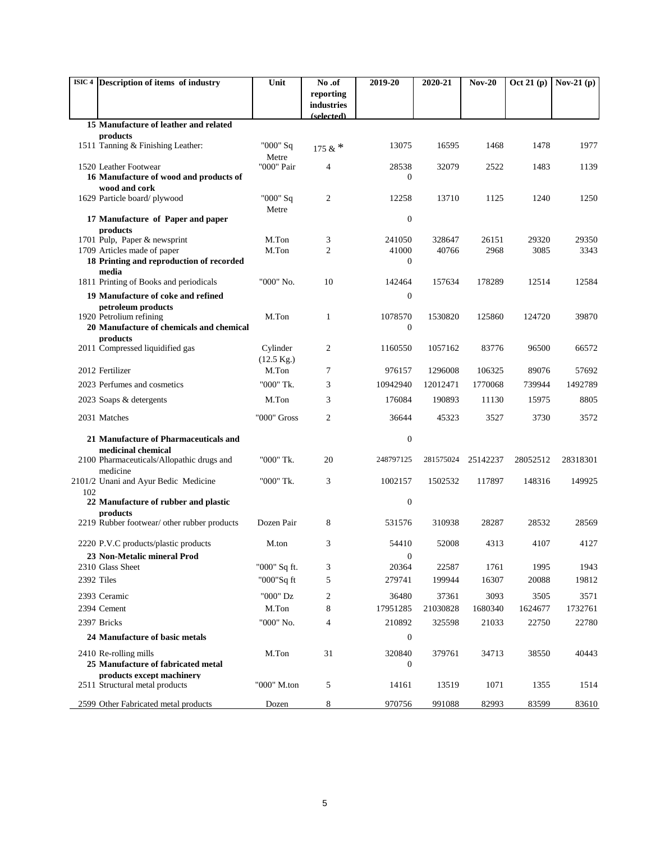|     | ISIC 4 Description of items of industry                         | Unit                 | No.of                    | 2019-20          | 2020-21         | $Nov-20$      | $\overline{Oct}$ 21 (p) | Nov-21 $(p)$  |
|-----|-----------------------------------------------------------------|----------------------|--------------------------|------------------|-----------------|---------------|-------------------------|---------------|
|     |                                                                 |                      | reporting                |                  |                 |               |                         |               |
|     |                                                                 |                      | industries<br>(selected) |                  |                 |               |                         |               |
|     | 15 Manufacture of leather and related                           |                      |                          |                  |                 |               |                         |               |
|     | products<br>1511 Tanning & Finishing Leather:                   | "000" Sq             |                          | 13075            | 16595           | 1468          | 1478                    | 1977          |
|     |                                                                 | Metre                | 175 & $*$                |                  |                 |               |                         |               |
|     | 1520 Leather Footwear                                           | "000" Pair           | $\overline{4}$           | 28538            | 32079           | 2522          | 1483                    | 1139          |
|     | 16 Manufacture of wood and products of                          |                      |                          | 0                |                 |               |                         |               |
|     | wood and cork<br>1629 Particle board/plywood                    | "000" Sq             | 2                        | 12258            | 13710           | 1125          | 1240                    | 1250          |
|     |                                                                 | Metre                |                          |                  |                 |               |                         |               |
|     | 17 Manufacture of Paper and paper<br>products                   |                      |                          | $\boldsymbol{0}$ |                 |               |                         |               |
|     | 1701 Pulp, Paper & newsprint                                    | M.Ton                | 3                        | 241050           | 328647          | 26151         | 29320                   | 29350         |
|     | 1709 Articles made of paper                                     | M.Ton                | $\overline{c}$           | 41000            | 40766           | 2968          | 3085                    | 3343          |
|     | 18 Printing and reproduction of recorded                        |                      |                          | $\overline{0}$   |                 |               |                         |               |
|     | media<br>1811 Printing of Books and periodicals                 | "000" No.            | 10                       | 142464           | 157634          | 178289        | 12514                   | 12584         |
|     | 19 Manufacture of coke and refined                              |                      |                          | $\boldsymbol{0}$ |                 |               |                         |               |
|     | petroleum products                                              |                      |                          |                  |                 |               |                         |               |
|     | 1920 Petrolium refining                                         | M.Ton                | 1                        | 1078570          | 1530820         | 125860        | 124720                  | 39870         |
|     | 20 Manufacture of chemicals and chemical<br>products            |                      |                          | $\boldsymbol{0}$ |                 |               |                         |               |
|     | 2011 Compressed liquidified gas                                 | Cylinder             | 2                        | 1160550          | 1057162         | 83776         | 96500                   | 66572         |
|     |                                                                 | $(12.5 \text{ Kg.})$ |                          |                  |                 |               |                         |               |
|     | 2012 Fertilizer                                                 | M.Ton                | 7                        | 976157           | 1296008         | 106325        | 89076                   | 57692         |
|     | 2023 Perfumes and cosmetics                                     | "000" Tk.            | 3                        | 10942940         | 12012471        | 1770068       | 739944                  | 1492789       |
|     | 2023 Soaps & detergents                                         | M.Ton                | 3                        | 176084           | 190893          | 11130         | 15975                   | 8805          |
|     | 2031 Matches                                                    | "000" Gross          | 2                        | 36644            | 45323           | 3527          | 3730                    | 3572          |
|     | 21 Manufacture of Pharmaceuticals and                           |                      |                          | $\boldsymbol{0}$ |                 |               |                         |               |
|     | medicinal chemical                                              |                      |                          |                  |                 |               |                         |               |
|     | 2100 Pharmaceuticals/Allopathic drugs and                       | "000" Tk.            | 20                       | 248797125        | 281575024       | 25142237      | 28052512                | 28318301      |
|     | medicine<br>2101/2 Unani and Ayur Bedic Medicine                | "000" Tk.            | 3                        | 1002157          | 1502532         | 117897        | 148316                  | 149925        |
| 102 |                                                                 |                      |                          |                  |                 |               |                         |               |
|     | 22 Manufacture of rubber and plastic                            |                      |                          | $\boldsymbol{0}$ |                 |               |                         |               |
|     | products<br>2219 Rubber footwear/ other rubber products         | Dozen Pair           | 8                        | 531576           | 310938          | 28287         | 28532                   | 28569         |
|     |                                                                 |                      |                          |                  |                 |               |                         |               |
|     | 2220 P.V.C products/plastic products                            | M.ton                | 3                        | 54410            | 52008           | 4313          | 4107                    | 4127          |
|     | 23 Non-Metalic mineral Prod                                     |                      |                          | 0                |                 |               |                         |               |
|     | 2310 Glass Sheet<br>2392 Tiles                                  | "000" Sq ft.         | 3<br>5                   | 20364<br>279741  | 22587<br>199944 | 1761<br>16307 | 1995<br>20088           | 1943<br>19812 |
|     |                                                                 | "000"Sq ft           |                          |                  |                 |               |                         |               |
|     | 2393 Ceramic                                                    | "000" Dz             | 2                        | 36480            | 37361           | 3093          | 3505                    | 3571          |
|     | 2394 Cement                                                     | M.Ton                | 8                        | 17951285         | 21030828        | 1680340       | 1624677                 | 1732761       |
|     | 2397 Bricks                                                     | "000" No.            | $\overline{4}$           | 210892           | 325598          | 21033         | 22750                   | 22780         |
|     | 24 Manufacture of basic metals                                  |                      |                          | $\boldsymbol{0}$ |                 |               |                         |               |
|     | 2410 Re-rolling mills                                           | M.Ton                | 31                       | 320840           | 379761          | 34713         | 38550                   | 40443         |
|     | 25 Manufacture of fabricated metal<br>products except machinery |                      |                          | $\mathbf{0}$     |                 |               |                         |               |
|     | 2511 Structural metal products                                  | "000" M.ton          | 5                        | 14161            | 13519           | 1071          | 1355                    | 1514          |
|     | 2599 Other Fabricated metal products                            | Dozen                | 8                        | 970756           | 991088          | 82993         | 83599                   | 83610         |